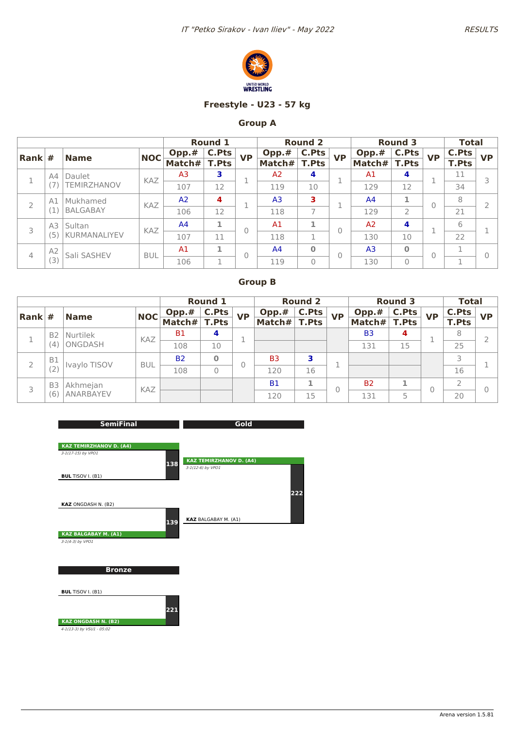



### **Freestyle - U23 - 57 kg**

## **Group A**

|                |                 |                           |            |                | <b>Round 1</b> |           |                | <b>Round 2</b> |           |                | <b>Round 3</b> |           | <b>Total</b> |           |
|----------------|-----------------|---------------------------|------------|----------------|----------------|-----------|----------------|----------------|-----------|----------------|----------------|-----------|--------------|-----------|
| Rank           | #               | <b>Name</b>               | <b>NOC</b> | Opp.#          | C.Pts          | <b>VP</b> | Opp.#          | <b>C.Pts</b>   | <b>VP</b> | Opp.#          | <b>C.Pts</b>   | <b>VP</b> | <b>C.Pts</b> | <b>VP</b> |
|                |                 |                           |            | Match#         | <b>T.Pts</b>   |           | Match#         | <b>T.Pts</b>   |           | Match#         | <b>T.Pts</b>   |           | <b>T.Pts</b> |           |
|                | A4              | Daulet                    | KAZ        | A <sub>3</sub> | 3              |           | A <sub>2</sub> | 4              |           | A <sub>1</sub> | 4              | ٠         | 11           |           |
|                |                 | <b><i>FEMIRZHANOV</i></b> |            | 107            | 12             |           | 119            | 10             |           | 129            | 12             |           | 34           |           |
|                | A1              | Mukhamed                  | KAZ        | A <sup>2</sup> | 4              | ٠         | A <sub>3</sub> | 3              |           | A <sup>4</sup> | 1              | 0         | 8            |           |
|                | <b>BALGABAY</b> |                           | 106        | 12             |                | 118       | $\overline{ }$ |                | 129       | $\overline{2}$ |                | 21        |              |           |
| 3              | A3              | Sultan                    | KAZ        | A <sup>4</sup> | 1              | 0         | A <sub>1</sub> | 1              | 0         | A <sub>2</sub> | 4              | ×,        | 6            |           |
|                | (5              | <b>KURMANALIYEV</b>       |            | 107            | 11             |           | 118            | п.             |           | 130            | 10             |           | 22           |           |
|                | A <sub>2</sub>  | Sali SASHEV               | <b>BUL</b> | A1             | 1              | 0         | A <sup>4</sup> | $\bf{0}$       | 0         | A <sub>3</sub> | $\mathbf 0$    | $\Omega$  | п            |           |
| $\overline{4}$ | (3)             |                           |            | 106            | 1<br>Ŧ.        |           | 119            | 0              |           | 130            | $\Omega$       |           | ×,           |           |

|                        |                |              |            |           | <b>Round 1</b> |           |                | <b>Round 2</b> |           |                | <b>Round 3</b> |           | <b>Total</b> |           |
|------------------------|----------------|--------------|------------|-----------|----------------|-----------|----------------|----------------|-----------|----------------|----------------|-----------|--------------|-----------|
| $\vert$ Rank $\vert$ # |                | <b>Name</b>  | <b>NOC</b> | Opp.#     | <b>C.Pts</b>   | <b>VP</b> | Opp.#          | <b>C.Pts</b>   | <b>VP</b> | Opp.#          | <b>C.Pts</b>   | <b>VP</b> | C.Pts        | <b>VP</b> |
|                        |                |              |            | Match#    | <b>T.Pts</b>   |           | Match#         | <b>T.Pts</b>   |           | Match#         | <b>T.Pts</b>   |           | <b>T.Pts</b> |           |
|                        | <b>B2</b>      | Nurtilek     | KAZ        | <b>B1</b> | 4              |           |                |                |           | B <sub>3</sub> | 4              |           | 8            |           |
|                        | (4)            | ONGDASH      |            | 108       | 10             |           |                |                |           | 131            | 15             |           | 25           |           |
|                        | <b>B1</b>      | Ivaylo TISOV | <b>BUL</b> | <b>B2</b> | $\bf{0}$       |           | B <sub>3</sub> | 3              |           |                |                |           |              |           |
|                        | (2)            |              |            | 108       | $\Omega$       |           | 120            | 16             |           |                |                |           | 16           |           |
|                        | B <sub>3</sub> | Akhmejan     | KAZ        |           |                |           | <b>B1</b>      | ٠ı             |           | <b>B2</b>      |                | 0         |              |           |
|                        | (6)            | ANARBAYEV    |            |           |                |           | 120            | 15             |           | 131            | 5              |           | 20           |           |

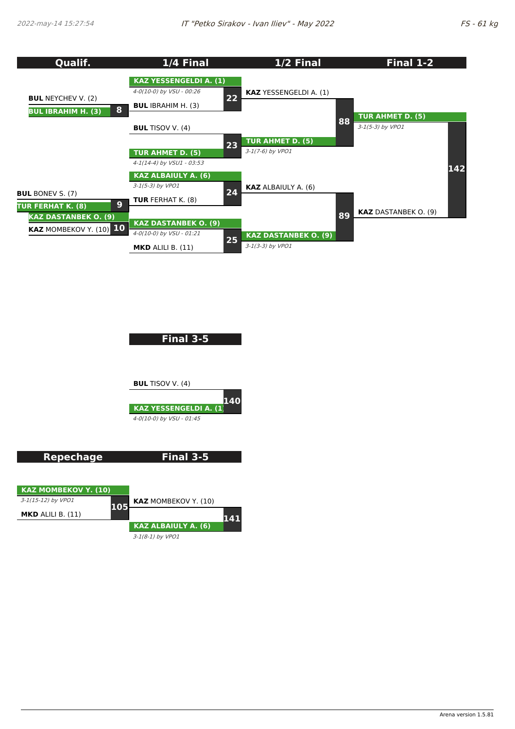

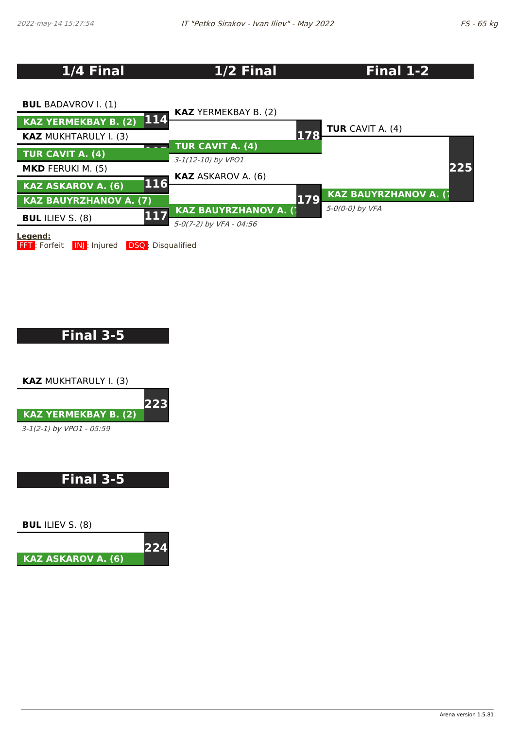# **1/4 Final 1/2 Final Final 1-2**



# **Final 3-5**

**KAZ** MUKHTARULY I. (3)



# **Final 3-5**

**BUL** ILIEV S. (8)

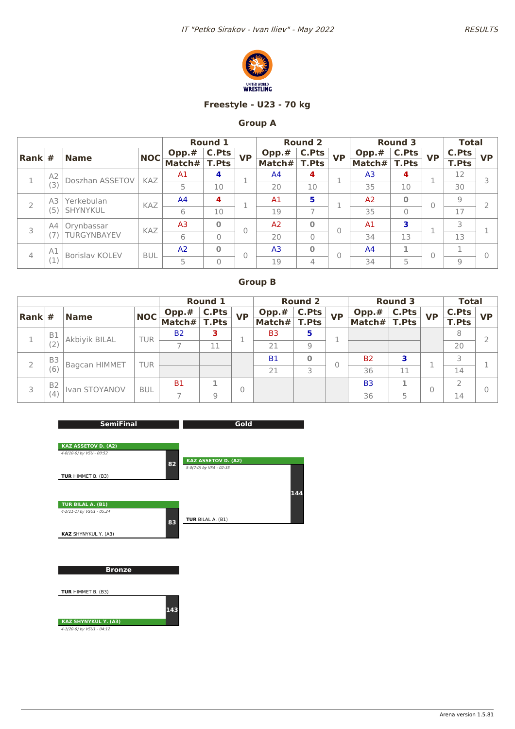



### **Freestyle - U23 - 70 kg**

## **Group A**

|                        |                |                       |            |                | <b>Round 1</b> |           |                | <b>Round 2</b> |           |                | <b>Round 3</b> |           | <b>Total</b> |           |
|------------------------|----------------|-----------------------|------------|----------------|----------------|-----------|----------------|----------------|-----------|----------------|----------------|-----------|--------------|-----------|
| $\vert$ Rank $\vert$ # |                | <b>Name</b>           | <b>NOC</b> | Opp.#          | <b>C.Pts</b>   | <b>VP</b> | Opp.#          | C.Pts          | <b>VP</b> | Opp.#          | C.Pts          | <b>VP</b> | <b>C.Pts</b> | <b>VP</b> |
|                        |                |                       |            | Match#         | <b>T.Pts</b>   |           | Match#         | <b>T.Pts</b>   |           | Match#         | <b>T.Pts</b>   |           | <b>T.Pts</b> |           |
|                        | A <sub>2</sub> | Doszhan ASSETOV       | <b>KAZ</b> | A <sub>1</sub> | 4              |           | A <sup>4</sup> | 4              |           | A <sub>3</sub> | 4              | 1         | 12           | 3         |
|                        | (3)            |                       |            | 5              | 10             |           | 20             | 10             |           | 35             | 10             |           | 30           |           |
| $\overline{2}$         | A3             | Yerkebulan            | KAZ        | A <sub>4</sub> | 4              |           | A <sub>1</sub> | 5              |           | A <sub>2</sub> | $\bf{0}$       | 0         | 9            |           |
|                        | (5)            | SHYNYKUL              |            | 6              | 10             |           | 19             | $\overline{7}$ |           | 35             | $\mathbf{0}$   |           | 17           |           |
| 3                      | A4             | Orynbassar            | KAZ        | A <sub>3</sub> | $\Omega$       | $\Omega$  | A <sub>2</sub> | $\bf{O}$       |           | A <sub>1</sub> | з              | п         | 3            |           |
|                        |                | TURGYNBAYEV           |            | 6              | $\Omega$       |           | 20             | $\Omega$       |           | 34             | 13             | ш         | 13           |           |
| 4                      | A1             | <b>Borislay KOLEV</b> | <b>BUL</b> | A <sub>2</sub> | $\Omega$       | $\Omega$  | A <sub>3</sub> | $\bf{0}$       |           | A <sup>4</sup> | 1              | $\Omega$  |              | $\Omega$  |
|                        | (1)            |                       |            | 5              | $\Omega$       |           | 19             | 4              |           | 34             | 5              |           | $9$          |           |

|      |                |               |            |           | <b>Round 1</b> |           |                | <b>Round 2</b> |           |                | <b>Round 3</b> |           | <b>Total</b> |           |
|------|----------------|---------------|------------|-----------|----------------|-----------|----------------|----------------|-----------|----------------|----------------|-----------|--------------|-----------|
| Rank | #              | <b>Name</b>   | <b>NOC</b> | Opp.#     | C.Pts          | <b>VP</b> | Opp.#          | C.Pts          | <b>VP</b> | Opp.#          | C.Pts          | <b>VP</b> | C.Pts        | <b>VP</b> |
|      |                |               |            | Match#    | <b>T.Pts</b>   |           | Match#         | <b>T.Pts</b>   |           | Match# $ $     | <b>T.Pts</b>   |           | <b>T.Pts</b> |           |
|      | <b>B1</b>      | Akbiyik BILAL | <b>TUR</b> | <b>B2</b> | з              |           | B <sub>3</sub> | 5              |           |                |                |           | 8            |           |
|      |                |               |            |           | 11             |           | 21             | 9              |           |                |                |           | 20           |           |
|      | B <sub>3</sub> | Bagcan HIMMET | <b>TUR</b> |           |                |           | <b>B1</b>      | O              |           | <b>B2</b>      |                |           |              |           |
|      | (6)            |               |            |           |                |           | 21             | 3              |           | 36             | 11             |           | 14           |           |
| 3    | <b>B2</b>      | Ivan STOYANOV | <b>BUL</b> | <b>B1</b> |                |           |                |                |           | B <sub>3</sub> |                | 0         |              |           |
|      | (4)            |               |            |           | $\mathcal{Q}$  |           |                |                |           | 36             | 5              |           | 14           |           |

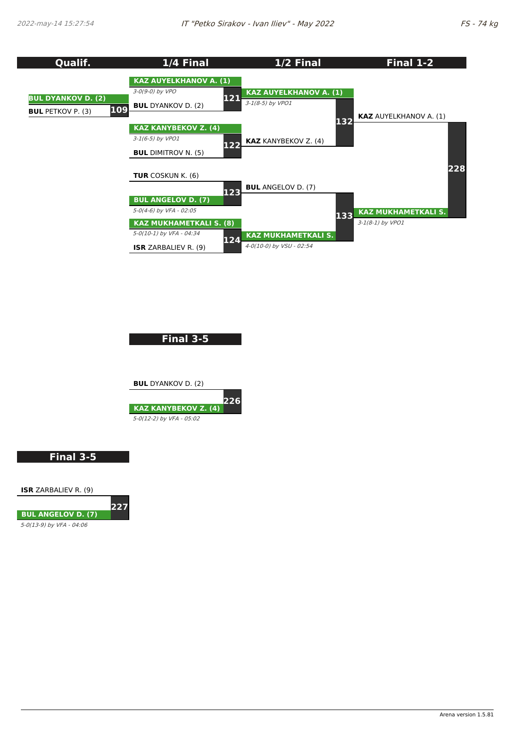

**Final 3-5**



**Final 3-5**

**ISR** ZARBALIEV R. (9)



5-0(13-9) by VFA - 04:06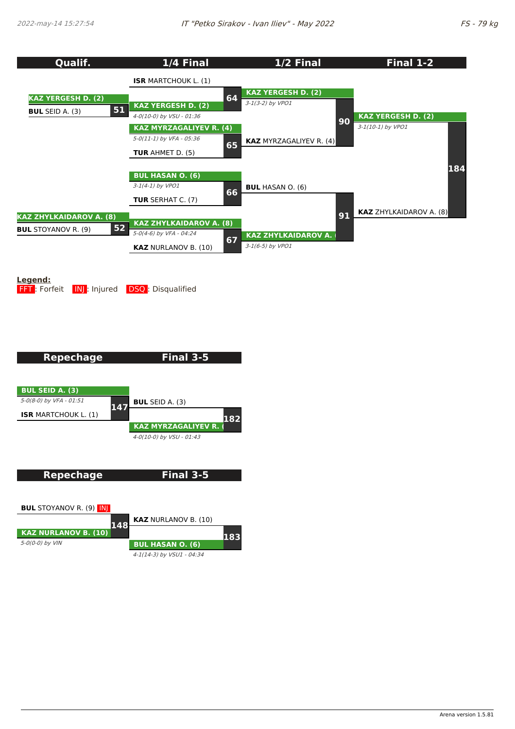

**Legend: FFT**: Forfeit **INJ:** Injured **DSQ:** Disqualified

5-0(0-0) by VIN

**Repechage Final 3-5 BUL SEID A. (3)** 5-0(8-0) by VFA - 01:51 **ISR** MARTCHOUK L. (1) **147 BUL** SEID A. (3) **KAZ MYRZAGALIYEV R. (4)** 4-0(10-0) by VSU - 01:43 **182 Repechage BUL** STOYANOV R. (9) INJ **KAZ NURLANOV B. (10) 148 Final 3-5 KAZ** NURLANOV B. (10) **183**

**BUL HASAN O. (6)** 4-1(14-3) by VSU1 - 04:34

Arena version 1.5.81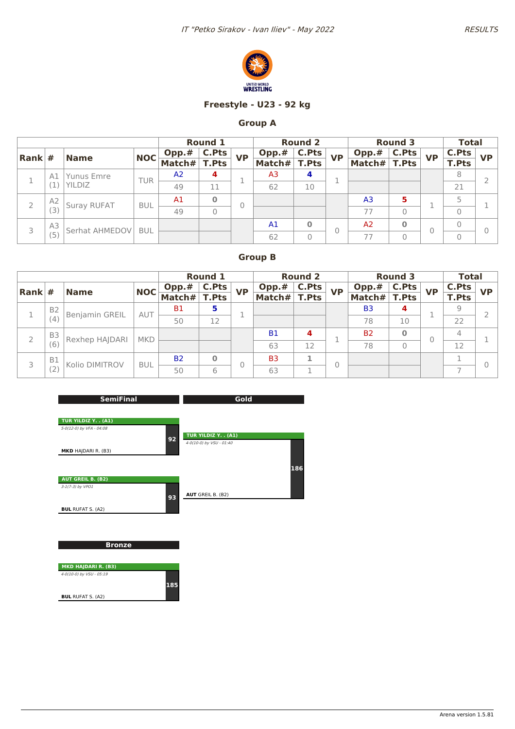



### **Freestyle - U23 - 92 kg**

## **Group A**

|          |    |                |            |                | <b>Round 1</b> |           |                | <b>Round 2</b> |           |                | <b>Round 3</b> |           | <b>Total</b> |           |
|----------|----|----------------|------------|----------------|----------------|-----------|----------------|----------------|-----------|----------------|----------------|-----------|--------------|-----------|
| Rank $#$ |    | <b>Name</b>    | <b>NOC</b> | Opp.#          | C.Pts          | <b>VP</b> | Opp.#          | <b>C.Pts</b>   | <b>VP</b> | Opp.#          | C.Pts          | <b>VP</b> | <b>C.Pts</b> | <b>VP</b> |
|          |    |                |            | Match $#$      | <b>T.Pts</b>   |           | Match#         | <b>T.Pts</b>   |           | Match#         | <b>T.Pts</b>   |           | <b>T.Pts</b> |           |
|          | A1 | Yunus Emre     | <b>TUR</b> | A <sub>2</sub> | 4              |           | A3             | 4              |           |                |                |           | 8            |           |
|          |    | YILDIZ         |            | 49             | 11             |           | 62             | 10             |           |                |                |           | 21           |           |
|          | A2 | Suray RUFAT    | <b>BUL</b> | A <sub>1</sub> | $\bf{0}$       |           |                |                |           | A <sub>3</sub> | 5              |           | 5            |           |
|          |    |                |            | 49             | 0              |           |                |                |           | 77             | 0              |           | 0            |           |
| 3        | A3 | Serhat AHMEDOV | <b>BUL</b> |                |                |           | A <sub>1</sub> | $\Omega$       | C         | A <sub>2</sub> | Ο              | 0         | 0            |           |
|          | (5 |                |            |                |                |           | 62             | 0              |           | 77             | 0              |           | 0            |           |

|                        |                |                |            |                | <b>Round 1</b> |           |                | <b>Round 2</b> |           |                | <b>Round 3</b> |           | <b>Total</b>   |           |
|------------------------|----------------|----------------|------------|----------------|----------------|-----------|----------------|----------------|-----------|----------------|----------------|-----------|----------------|-----------|
| $\vert$ Rank $\vert$ # |                | <b>Name</b>    | NOC        | Opp.#          | C.Pts          | <b>VP</b> | Opp.#          | C.Pts          | <b>VP</b> | Opp.#          | <b>C.Pts</b>   | <b>VP</b> | <b>C.Pts</b>   | <b>VP</b> |
|                        |                |                |            | Match# $\vert$ | <b>T.Pts</b>   |           | Match#         | <b>T.Pts</b>   |           | Match#         | <b>T.Pts</b>   |           | <b>T.Pts</b>   |           |
|                        | B <sub>2</sub> | Benjamin GREIL | AUT        | <b>B1</b>      | 5              |           |                |                |           | B <sub>3</sub> | 4              |           | 9              |           |
|                        | (4)            |                |            | 50             | 12             |           |                |                |           | 78             | 10             |           | 22             |           |
|                        | B <sub>3</sub> | Rexhep HAJDARI | <b>MKD</b> |                |                |           | <b>B1</b>      | 4              |           | <b>B2</b>      | 0              | $\theta$  | $\overline{4}$ |           |
|                        | (6)            |                |            |                |                |           | 63             | 12             |           | 78             | 0              |           | 12             |           |
| 3                      | <b>B1</b>      | Kolio DIMITROV | <b>BUL</b> | <b>B2</b>      | $\bf{0}$       |           | B <sub>3</sub> | 1              |           |                |                |           |                |           |
|                        | (2)            |                |            | 50             | 6              |           | 63             |                |           |                |                |           |                |           |

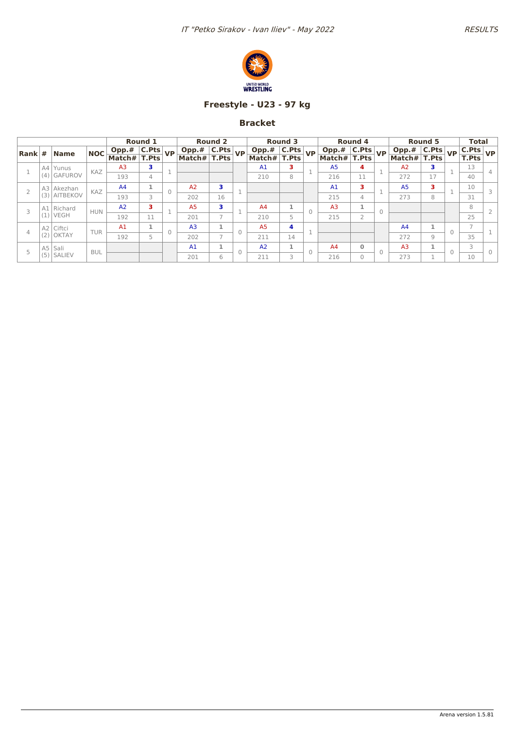

## **Freestyle - U23 - 97 kg**

|                        |     |              |            |                                                               | Round 1 |                                | <b>Round 2</b>           |            |                 | Round 3      |           |                | <b>Round 4</b> |           |                     | Round 5 |           | <b>Total</b>                          |           |
|------------------------|-----|--------------|------------|---------------------------------------------------------------|---------|--------------------------------|--------------------------|------------|-----------------|--------------|-----------|----------------|----------------|-----------|---------------------|---------|-----------|---------------------------------------|-----------|
| $\vert$ Rank $\vert$ # |     | <b>Name</b>  | <b>NOC</b> | $\boxed{\textbf{Opp.# }   \textbf{C.Pts}  }_{\textbf{C.Pts}}$ |         | Opp.# C.Pts<br>Match# T.Pts VP |                          |            | Opp.# $ C.Pts $ |              | <b>VP</b> | $Opp.*$ C.Pts  |                | <b>VP</b> | Opp.# $ $ C.Pts $ $ |         | <b>VP</b> | C.Pts                                 | <b>VP</b> |
|                        |     |              |            | Match# T.Pts                                                  |         |                                |                          |            | Match# T.Pts    |              |           | Match# T.Pts   |                |           | Match# $ $          | T.Pts   |           | $\overline{\mathsf{T}. \mathsf{Pts}}$ |           |
|                        |     | A4 Yunus     | KAZ        | A <sub>3</sub>                                                | 3       |                                |                          |            | A1              | з            |           | A <sub>5</sub> | 4              |           | A <sub>2</sub>      | 3       |           | 13                                    |           |
|                        | (4) | GAFUROV      |            | 193                                                           | 4       |                                |                          |            | 210             | 8            |           | 216            | 11             |           | 272                 | 17      |           | 40                                    |           |
|                        |     | A3 Akezhan   | KAZ        | A <sub>4</sub>                                                | 1       | A <sub>2</sub>                 | 3                        | <b>COL</b> |                 |              |           | A <sub>1</sub> | з              |           | A <sub>5</sub>      | з       |           | 10                                    | 3         |
|                        | (3) | AITBEKOV     |            | 193                                                           | 3       | 202                            | 16                       |            |                 |              |           | 215            | 4              |           | 273                 | 8       |           | 31                                    |           |
|                        |     | A1 Richard   | <b>HUN</b> | A <sub>2</sub>                                                | 3       | A <sub>5</sub>                 | з                        | ×          | A <sub>4</sub>  | 1            |           | A <sub>3</sub> | 1              | $\Omega$  |                     |         |           | 8                                     |           |
|                        | (1) | <b>VEGH</b>  |            | 192                                                           | 11      | 201                            |                          |            | 210             | 5            |           | 215            | $\overline{2}$ |           |                     |         |           | 25                                    |           |
|                        |     | A2 Ciftci    | <b>TUR</b> | A1                                                            | 1       | A <sub>3</sub>                 |                          | $\Omega$   | A <sub>5</sub>  | 4            |           |                |                |           | A <sup>4</sup>      |         |           |                                       |           |
|                        | (2) | <b>OKTAY</b> |            | 192                                                           | 5       | 202                            | $\overline{\phantom{a}}$ |            | 211             | 14           |           |                |                |           | 272                 | 9       |           | 35                                    |           |
|                        |     | $A5$ Sali    | <b>BUL</b> |                                                               |         | A <sub>1</sub>                 |                          | $\Omega$   | A2              | $\mathbf{1}$ |           | A <sub>4</sub> | $\mathbf{0}$   | $\bigcap$ | A <sub>3</sub>      |         | $\bigcap$ | 3                                     |           |
|                        |     | $(5)$ SALIEV |            |                                                               |         | 201                            | 6                        |            | 211             | 3            |           | 216            | $\Omega$       |           | 273                 |         |           | 10                                    |           |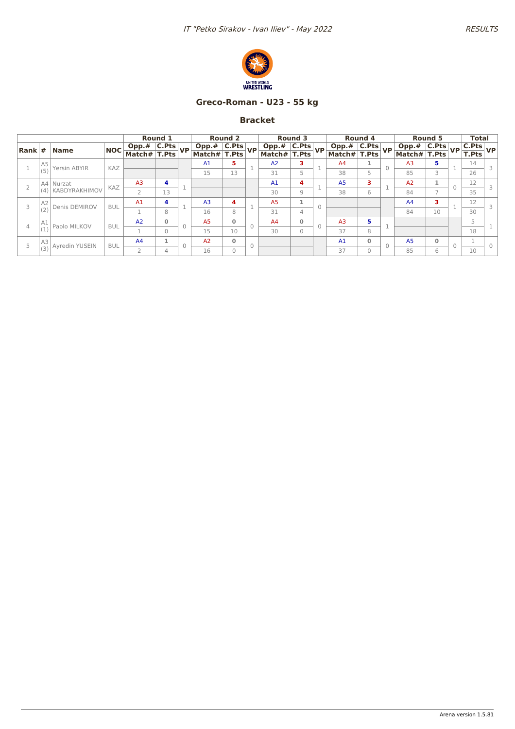

## **Greco-Roman - U23 - 55 kg**

|                  |                                                                |            |                                | <b>Round 1</b> |                                | <b>Round 2</b> |          |                                | <b>Round 3</b> |          |                | <b>Round 4</b> |                 |                             | Round 5       | <b>Total</b>                               |  |
|------------------|----------------------------------------------------------------|------------|--------------------------------|----------------|--------------------------------|----------------|----------|--------------------------------|----------------|----------|----------------|----------------|-----------------|-----------------------------|---------------|--------------------------------------------|--|
|                  | $\left  \mathsf{Rank} \right  \# \left  \mathsf{Name} \right $ | NOC        | Opp.# C.Pts<br>Match# T.Pts VP |                | Opp.# C.Pts<br>Match# T.Pts VP |                |          | Opp.# C.Pts<br>Match# T.Pts VP |                |          | Opp.# C.Pts    |                | VP <sub>1</sub> | Opp.# C.Pts<br>Match# T.Pts |               | $\frac{\mathsf{C.Pts}}{\mathsf{T.Pts}}$ VP |  |
|                  |                                                                |            |                                |                |                                |                |          |                                |                |          | Match# T.Pts   |                |                 |                             |               |                                            |  |
| $\frac{A5}{(5)}$ | Yersin ABYIR                                                   | KAZ        |                                |                | A <sub>1</sub>                 | 5              |          | A <sub>2</sub>                 | з.             |          | A4             | 1              |                 | A <sub>3</sub>              | 5.            | 14                                         |  |
|                  |                                                                |            |                                |                | 15                             | 13             |          | 31                             | 5              |          | 38             | 5              |                 | 85                          | 3             | 26                                         |  |
|                  | A4 Nurzat                                                      | KAZ        | A <sub>3</sub>                 | 4              |                                |                |          | A <sub>1</sub>                 | 4              |          | A <sub>5</sub> | з              |                 | A2                          |               | 12                                         |  |
|                  | (4) KABDYRAKHIMOV                                              |            |                                | 13             |                                |                |          | 30                             | 9              |          | 38             | 6              |                 | 84                          | $\rightarrow$ | 35                                         |  |
| $A2$<br>(2)      | Denis DEMIROV                                                  | <b>BUL</b> | A <sub>1</sub>                 | 4              | A <sub>3</sub>                 | 4              |          | A <sub>5</sub>                 |                | $\Omega$ |                |                |                 | A <sub>4</sub>              |               | 12                                         |  |
|                  |                                                                |            |                                | 8              | 16                             | 8              |          | 31                             | 4              |          |                |                |                 | 84                          | 10            | 30                                         |  |
| $A1$<br>(1)      | Paolo MILKOV                                                   | <b>BUL</b> | A2                             | 0              | A <sub>5</sub>                 | $\Omega$       | $\Omega$ | A <sub>4</sub>                 | $\mathbf{0}$   |          | A <sub>3</sub> | 5              |                 |                             |               | 5                                          |  |
|                  |                                                                |            |                                | $\Omega$       | 15                             | 10             |          | 30                             | 0              |          | 37             | 8              |                 |                             |               | 18                                         |  |
| $A3$<br>(3)      | Ayredin YUSEIN                                                 | <b>BUL</b> | A4                             |                | A2                             | $\mathbf{0}$   | $\Omega$ |                                |                |          | A <sub>1</sub> | $\mathbf 0$    |                 | A <sub>5</sub>              | $\mathbf{0}$  |                                            |  |
|                  |                                                                |            |                                | 4              | 16                             | $\Omega$       |          |                                |                |          | 37             | $\Omega$       |                 | 85                          | 6             | 10                                         |  |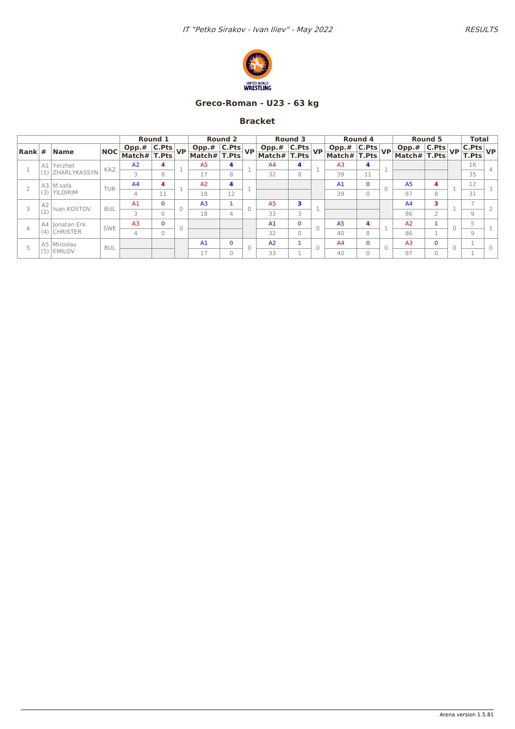

### **Greco-Roman - U23 - 63 kg**

|                |                |                                    |            |                                                    | Round 1      |        |                                                                           | <b>Round 2</b> |                                | <b>Round 3</b> |          |                                                      | Round 4      |                             | <b>Round 5</b>           | <b>Total</b>                                           |  |
|----------------|----------------|------------------------------------|------------|----------------------------------------------------|--------------|--------|---------------------------------------------------------------------------|----------------|--------------------------------|----------------|----------|------------------------------------------------------|--------------|-----------------------------|--------------------------|--------------------------------------------------------|--|
|                |                | $\vert$ Rank $\vert \# \vert$ Name | <b>NOC</b> | $\boxed{\text{Opp.# }   \text{C.Pts} }{\text{VP}}$ |              |        | $\sqrt{\frac{\text{Opp.# } C.\text{Pts}}{\frac{1}{1-\cdots}}} V\text{P} $ |                | Opp.# C.Pts<br>Match# T.Pts VP |                |          | $\boxed{\text{Opp.# }   \text{C.Pts} }{\text{VP } }$ |              | Opp.# C.Pts<br>Match# T.Pts |                          | $\frac{\boxed{\text{C.Pts}}}{\boxed{\text{T.Pts}}}$ VP |  |
|                |                |                                    |            | Match# T.Pts                                       |              |        | Match# T.Pts                                                              |                |                                |                |          | Match# T.Pts                                         |              |                             |                          |                                                        |  |
|                |                | A1 Yerzhet                         | KAZ        | A2                                                 | 4            |        | A <sub>5</sub>                                                            | 4              | A4                             | 4              |          | A <sub>3</sub>                                       | 4            |                             |                          | 16                                                     |  |
|                |                | (1) ZHARLYKASSYN                   |            | 3                                                  | 8            |        | 17                                                                        | 8              | 32                             | 8              |          | 39                                                   | 11           |                             |                          | 35                                                     |  |
|                |                | A3   M.safa                        | <b>TUR</b> | A <sub>4</sub>                                     | 4            |        | A <sub>2</sub>                                                            | 4              |                                |                |          | A <sub>1</sub>                                       | $\mathbf{0}$ | A <sub>5</sub>              | 4                        | 12                                                     |  |
|                | (3)            | <b>YILDIRIM</b>                    |            | 4                                                  | 11           |        | 18                                                                        | 12             |                                |                |          | 39                                                   | $\mathbf{0}$ | 87                          | 8                        | 31                                                     |  |
|                | A <sub>2</sub> | Ivan KOSTOV                        |            | A1                                                 | 0            |        | A <sub>3</sub>                                                            |                | A <sub>5</sub>                 | з              |          |                                                      |              | A <sub>4</sub>              | з                        |                                                        |  |
| 3              | (2)            |                                    | <b>BUL</b> | 3                                                  | $\Omega$     |        | 18                                                                        | 4              | 33                             | 3              |          |                                                      |              | 86                          | $\overline{\phantom{a}}$ | 9                                                      |  |
| $\overline{4}$ |                | A4 Jonatan Erk                     | <b>SWE</b> | A <sub>3</sub>                                     | $\mathbf{0}$ | $\cap$ |                                                                           |                | A <sub>1</sub>                 | $\Omega$       | $\Omega$ | A <sub>5</sub>                                       | 4            | A <sub>2</sub>              |                          | 5                                                      |  |
|                |                | $(4)$ CHRISTER                     |            | 4                                                  | $\Omega$     |        |                                                                           |                | 32                             | $\Omega$       |          | 40                                                   | 8            | 86                          |                          | 9                                                      |  |
|                |                | A5 Miroslav                        |            |                                                    |              |        | A <sub>1</sub>                                                            | $\mathbf{0}$   | A2                             |                |          | A <sub>4</sub>                                       | $\mathbf 0$  | A <sub>3</sub>              | $\Omega$                 |                                                        |  |
|                |                | $(5)$ EMILOV                       | <b>BUL</b> |                                                    |              |        | 17                                                                        | $\Omega$       | 33                             |                | $\Omega$ | 40                                                   | $\Omega$     | 87                          | $\Omega$                 |                                                        |  |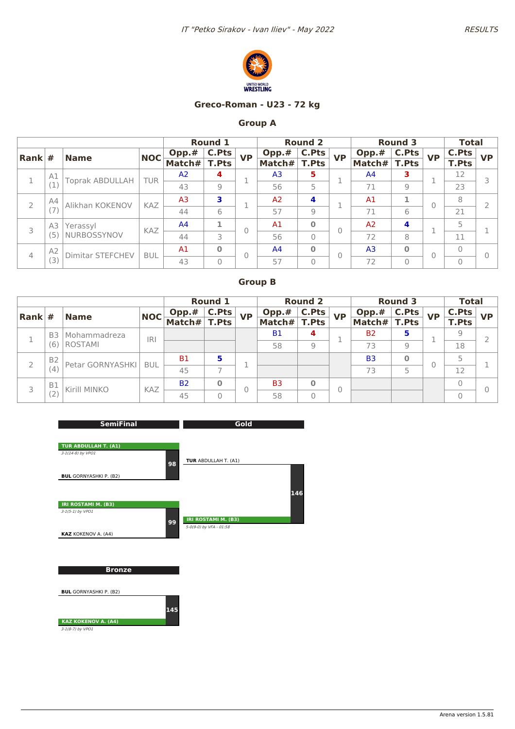



#### **Greco-Roman - U23 - 72 kg**

## **Group A**

|                        |                |                         |            |                | <b>Round 1</b> |           |                | <b>Round 2</b> |           |                | <b>Round 3</b> |           | <b>Total</b>   |           |
|------------------------|----------------|-------------------------|------------|----------------|----------------|-----------|----------------|----------------|-----------|----------------|----------------|-----------|----------------|-----------|
| $\vert$ Rank $\vert$ # |                | <b>Name</b>             | <b>NOC</b> | Opp.#          | C.Pts          | <b>VP</b> | Opp.#          | <b>C.Pts</b>   | <b>VP</b> | Opp.#          | <b>C.Pts</b>   | <b>VP</b> | <b>C.Pts</b>   | <b>VP</b> |
|                        |                |                         |            | Match#         | <b>T.Pts</b>   |           | Match#         | <b>T.Pts</b>   |           | Match#         | <b>T.Pts</b>   |           | <b>T.Pts</b>   |           |
|                        | A1             | <b>Toprak ABDULLAH</b>  | <b>TUR</b> | A <sup>2</sup> | 4              |           | A <sub>3</sub> | 5              |           | A <sup>4</sup> | з              |           | 12             |           |
|                        |                |                         |            | 43             | 9              |           | 56             | 5              |           | 71             | 9              |           | 23             |           |
| $\overline{2}$         | A4             | Alikhan KOKENOV         | KAZ        | A <sub>3</sub> | 3              |           | A <sub>2</sub> | 4              |           | A <sub>1</sub> | 1              | $\theta$  | 8              |           |
|                        |                |                         |            | 44             | 6              |           | 57             | $\overline{9}$ |           | 71             | 6              |           | 21             |           |
| 3                      | A3             | Yerassyl                | KAZ        | A <sup>4</sup> | 1              |           | A <sub>1</sub> | $\Omega$       | 0         | A <sub>2</sub> | 4              | ×,        | 5              |           |
|                        | (5             | NURBOSSYNOV             |            | 44             | 3              |           | 56             | $\Omega$       |           | 72             | 8              |           | 11             |           |
| $\overline{4}$         | A <sub>2</sub> | <b>Dimitar STEFCHEV</b> | <b>BUL</b> | A1             | $\Omega$       | 0         | A <sub>4</sub> | $\mathbf{0}$   | $\Omega$  | A <sub>3</sub> | $\mathbf 0$    | $\Omega$  | $\overline{0}$ |           |
|                        | (3)            |                         |            | 43             | $\overline{0}$ |           | 57             | $\overline{0}$ |           | 72             | $\overline{0}$ |           | $\overline{0}$ |           |

|                        |                |                  |            |            | <b>Round 1</b> |           |                | <b>Round 2</b> |           |                | <b>Round 3</b> |           | <b>Total</b> |           |
|------------------------|----------------|------------------|------------|------------|----------------|-----------|----------------|----------------|-----------|----------------|----------------|-----------|--------------|-----------|
| $\vert$ Rank $\vert$ # |                | <b>Name</b>      | <b>NOC</b> | Opp.#      | C.Pts          | <b>VP</b> | Opp.#          | C.Pts          | <b>VP</b> | Opp.#          | C.Pts          | <b>VP</b> | C.Pts        | <b>VP</b> |
|                        |                |                  |            | Match# $ $ | <b>T.Pts</b>   |           | Match#         | <b>T.Pts</b>   |           | Match#         | <b>T.Pts</b>   |           | <b>T.Pts</b> |           |
|                        | B <sub>3</sub> | Mohammadreza     | R          |            |                |           | <b>B1</b>      | 4              |           | <b>B2</b>      | 5              |           | 9            |           |
|                        | (6)            | ROSTAMI          |            |            |                |           | 58             | 9              |           | 73             | 9              |           | 18           |           |
|                        | B <sub>2</sub> | Petar GORNYASHKI | <b>BUL</b> | <b>B1</b>  | 5              |           |                |                |           | B <sub>3</sub> | $\bf{0}$       | $\Omega$  |              |           |
|                        | (4)            |                  |            | 45         |                |           |                |                |           | 73             | 5              |           | 12           |           |
| 3                      | <b>B1</b>      | Kirill MINKO     | <b>KAZ</b> | <b>B2</b>  | $\Omega$       |           | B <sub>3</sub> | $\bf{0}$       | 0         |                |                |           |              |           |
|                        | (Z)            |                  |            | 45         | O              |           | 58             | $\Omega$       |           |                |                |           |              |           |

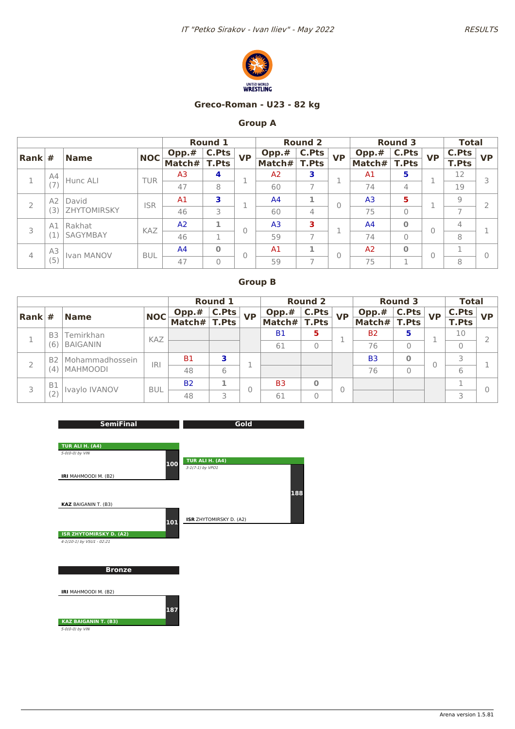

#### **Greco-Roman - U23 - 82 kg**

### **Group A**

|                |                |                 |            |                | <b>Round 1</b> |                |                | <b>Round 2</b>           |           |                | <b>Round 3</b> |                | <b>Total</b>             |           |
|----------------|----------------|-----------------|------------|----------------|----------------|----------------|----------------|--------------------------|-----------|----------------|----------------|----------------|--------------------------|-----------|
| Rank $#$       |                | <b>Name</b>     | <b>NOC</b> | $Opp.*$        | C.Pts          | <b>VP</b>      | $Opp.*$        | <b>C.Pts</b>             | <b>VP</b> | Opp.#          | <b>C.Pts</b>   | <b>VP</b>      | <b>C.Pts</b>             | <b>VP</b> |
|                |                |                 |            | Match#         | <b>T.Pts</b>   |                | Match#         | T.Pts                    |           | Match#         | <b>T.Pts</b>   |                | <b>T.Pts</b>             |           |
|                | A4             | Hunc ALI        | <b>TUR</b> | A <sub>3</sub> | 4              |                | A <sub>2</sub> | 3                        |           | A <sub>1</sub> | 5              | п              | 12                       | 3         |
|                | (7)            |                 |            | 47             | 8              |                | 60             | $\overline{7}$           | ÷         | 74             | 4              |                | 19                       |           |
| $\overline{2}$ | A <sub>2</sub> | David           | <b>ISR</b> | A1             | 3              |                | A <sup>4</sup> | 1                        | 0         | A <sub>3</sub> | 5              | п              | 9                        |           |
|                | (3             | ZHYTOMIRSKY     |            | 46             | 3              |                | 60             | 4                        |           | 75             | 0              |                | $\overline{\phantom{0}}$ |           |
| 3              | A1             | Rakhat          | KAZ        | A <sub>2</sub> | 1              | $\overline{0}$ | A <sub>3</sub> | 3                        |           | A <sup>4</sup> | $\bf{0}$       | $\overline{0}$ | $\overline{4}$           |           |
|                | Ί              | <b>SAGYMBAY</b> |            | 46             | п              |                | 59             | $\tau$                   | ÷         | 74             | $\Omega$       |                | 8                        |           |
| $\overline{4}$ | A3             | Ivan MANOV      |            | A <sup>4</sup> | $\mathbf 0$    | $\mathbf{0}$   | A <sub>1</sub> | 1                        | 0         | A <sub>2</sub> | $\bf{0}$       | $\overline{0}$ |                          | $\Omega$  |
|                | (5)            |                 | <b>BUL</b> | 47             | $\overline{0}$ |                | 59             | $\overline{\phantom{a}}$ |           | 75             | 1              |                | 8                        |           |

|                        |           |                                  |            |           | <b>Round 1</b> |           |                | <b>Round 2</b> |           |                | <b>Round 3</b> |           | <b>Total</b> |           |
|------------------------|-----------|----------------------------------|------------|-----------|----------------|-----------|----------------|----------------|-----------|----------------|----------------|-----------|--------------|-----------|
| $\vert$ Rank $\vert$ # |           | <b>Name</b>                      | <b>NOC</b> | Opp.#     | <b>C.Pts</b>   | <b>VP</b> | Opp.#          | C.Pts          | <b>VP</b> | Opp.#          | <b>C.Pts</b>   | <b>VP</b> | C.Pts        | <b>VP</b> |
|                        |           |                                  |            | Match $#$ | <b>T.Pts</b>   |           | Match#         | <b>T.Pts</b>   |           | Match#         | <b>T.Pts</b>   |           | <b>T.Pts</b> |           |
|                        | B3        | Temirkhan                        | KAZ        |           |                |           | <b>B1</b>      | 5              |           | B <sub>2</sub> | 5              |           | 10           |           |
|                        | (6)       | <b>BAIGANIN</b>                  |            |           |                |           | 61             | 0              |           | 76             | $\Omega$       |           |              |           |
|                        |           | B <sub>2</sub>   Mohammadhossein | <b>IRI</b> | Β1        |                |           |                |                |           | B <sub>3</sub> | $\bf{0}$       |           |              |           |
|                        | (4)       | <b>MAHMOODI</b>                  |            | 48        | 6              |           |                |                |           | 76             | $\Omega$       |           | 6            |           |
|                        | <b>B1</b> | Ivaylo IVANOV                    | <b>BUL</b> | <b>B2</b> |                |           | B <sub>3</sub> | $\bf{0}$       | 0         |                |                |           |              |           |
| 3                      |           |                                  | 48         | 3         | O              | 61        | $\Omega$       |                |           |                |                |           |              |           |

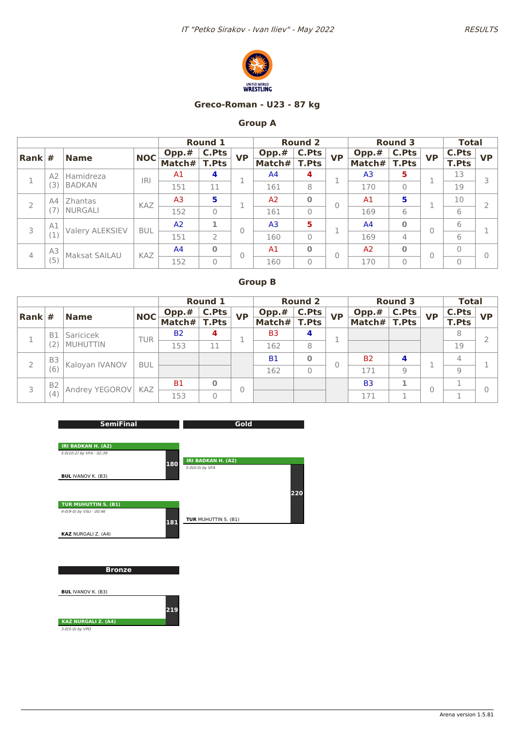

#### **Greco-Roman - U23 - 87 kg**

## **Group A**

|                        |         |                        |            |                | <b>Round 1</b> |           |                | <b>Round 2</b> |           |                | <b>Round 3</b> |              | <b>Total</b> |           |
|------------------------|---------|------------------------|------------|----------------|----------------|-----------|----------------|----------------|-----------|----------------|----------------|--------------|--------------|-----------|
| $\vert$ Rank $\vert$ # |         | <b>Name</b>            | <b>NOC</b> | Opp.#          | C.Pts          | <b>VP</b> | Opp.#          | <b>C.Pts</b>   | <b>VP</b> | Opp.#          | <b>C.Pts</b>   | <b>VP</b>    | <b>C.Pts</b> | <b>VP</b> |
|                        |         |                        |            | Match#         | <b>T.Pts</b>   |           | Match#         | <b>T.Pts</b>   |           | Match#         | T.Pts          |              | <b>T.Pts</b> |           |
|                        | A2      | Hamidreza              | <b>IRI</b> | A <sub>1</sub> | 4              |           | A <sup>4</sup> | 4              | ×,        | A <sub>3</sub> | 5              | 1            | 13           | 3         |
|                        | ί3      | <b>BADKAN</b>          |            | 151            | 11             |           | 161            | 8              |           | 170            | 0              |              | 19           |           |
|                        | A4<br>2 | Zhantas                | <b>KAZ</b> | A <sub>3</sub> | 5              |           | A <sub>2</sub> | $\Omega$       | $\Omega$  | A <sub>1</sub> | 5              | ×,           | 10           |           |
|                        |         | <b>NURGALI</b>         |            | 152            | $\mathbf{0}$   |           | 161            | $\mathbf{0}$   |           | 169            | 6              |              | 6            |           |
| 3                      | A1      |                        | <b>BUL</b> | A <sub>2</sub> | 1              | $\Omega$  | A <sub>3</sub> | 5              |           | A <sup>4</sup> | $\bf{0}$       | $\mathbf{0}$ | 6            |           |
|                        |         | <b>Valery ALEKSIEV</b> |            | 151            | $\overline{2}$ |           | 160            | $\mathbf{0}$   |           | 169            | 4              |              | 6            |           |
|                        | A3      | <b>Maksat SAILAU</b>   | <b>KAZ</b> | A <sup>4</sup> | $\bf{0}$       |           | A <sub>1</sub> | $\mathbf{0}$   | 0         | A <sub>2</sub> | $\bf{O}$       | $\mathbf{0}$ | $\Omega$     | $\Omega$  |
| 4                      | (5)     |                        |            | 152            | $\overline{0}$ |           | 160            | $\mathbf 0$    |           | 170            | 0              |              | $\mathbf{0}$ |           |

|                        |                     |                |            |           | <b>Round 1</b> |           |                | <b>Round 2</b> |           |                | <b>Round 3</b> |           | <b>Total</b>   |           |
|------------------------|---------------------|----------------|------------|-----------|----------------|-----------|----------------|----------------|-----------|----------------|----------------|-----------|----------------|-----------|
| $\vert$ Rank $\vert$ # |                     | <b>Name</b>    | <b>NOC</b> | Opp.#     | C.Pts          | <b>VP</b> | Opp.#          | <b>C.Pts</b>   | <b>VP</b> | Opp.#          | C.Pts          | <b>VP</b> | C.Pts          | <b>VP</b> |
|                        |                     |                |            | Match#    | <b>T.Pts</b>   |           | Match#         | <b>T.Pts</b>   |           | Match#         | <b>T.Pts</b>   |           | <b>T.Pts</b>   |           |
|                        | <b>B1</b>           | Saricicek      | TUR        | <b>B2</b> | 4              |           | B <sub>3</sub> | 4              |           |                |                |           | 8              |           |
|                        |                     | MUHUTTIN       |            | 153       | 11             |           | 162            | 8              |           |                |                |           | 19             |           |
|                        | B <sub>3</sub>      | Kaloyan IVANOV | <b>BUL</b> |           |                |           | <b>B1</b>      | O              |           | <b>B2</b>      |                |           | $\overline{4}$ |           |
|                        | (6)                 |                |            |           |                |           | 162            | 0              |           | 171            | 9              |           | $\overline{9}$ |           |
|                        | B <sub>2</sub><br>3 | Andrey YEGOROV | KAZ        | <b>B1</b> | $\bf{0}$       |           |                |                |           | B <sub>3</sub> |                |           |                |           |
| (4)                    |                     |                | 153        | $\Omega$  |                |           |                |                | 171       |                |                |           |                |           |

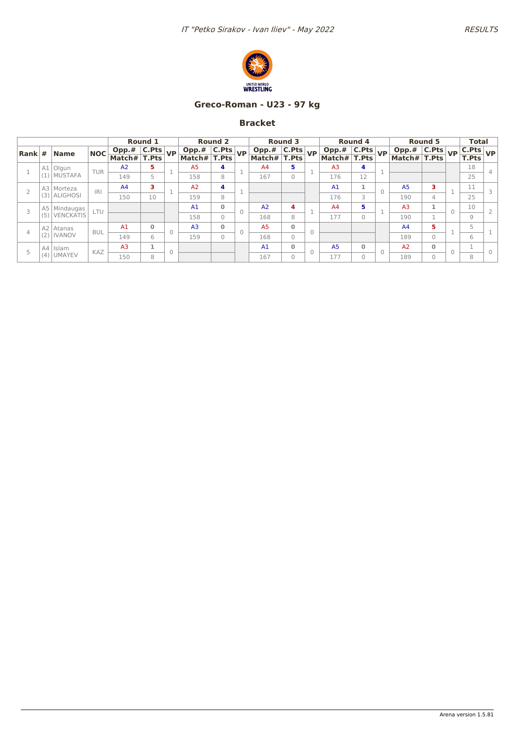

## **Greco-Roman - U23 - 97 kg**

|                                  |     |                  |            |                                                                                                                                                   | Round 1      |                                                        | <b>Round 2</b> |          |                                         | Round 3      |                                                                                                                                                   | Round 4      |          |                 | Round 5        |           | <b>Total</b>  |        |
|----------------------------------|-----|------------------|------------|---------------------------------------------------------------------------------------------------------------------------------------------------|--------------|--------------------------------------------------------|----------------|----------|-----------------------------------------|--------------|---------------------------------------------------------------------------------------------------------------------------------------------------|--------------|----------|-----------------|----------------|-----------|---------------|--------|
| $\left  \mathsf{Rank} \right $ # |     | <b>Name</b>      | <b>NOC</b> | $\begin{array}{ c c c c }\hline \text{Opp.}\# & \text{C.Pts} & \text{VP} \\\hline \text{Match}\# & \text{T.Pts} & \text{VP} \\\hline \end{array}$ |              | $\boxed{\text{Opp.}\# \boxed{\text{C.} \text{Pts}}$ VP |                |          | $\boxed{\text{Opp.# } C.\text{Pts}}$ VP |              | $\begin{array}{ c c c c }\hline \text{Opp.}\# & \text{C.Pts} & \text{VP} \\\hline \text{Match}\# & \text{T.Pts} & \text{VP} \\\hline \end{array}$ |              |          | Opp.# $ $ C.Pts |                | <b>VP</b> | $ $ C.Pts $ $ | VP.    |
|                                  |     |                  |            |                                                                                                                                                   |              | Match# $ T.Pts $                                       |                |          | Match# T.Pts                            |              |                                                                                                                                                   |              |          | Match# T.Pts    |                |           | T.Pts         |        |
|                                  |     | A1 Olgun         | <b>TUR</b> | A2                                                                                                                                                | 5.           | A <sub>5</sub>                                         | 4              |          | A <sub>4</sub>                          | 5            | A <sub>3</sub>                                                                                                                                    | 4            |          |                 |                |           | 18            |        |
|                                  | (1) | <b>MUSTAFA</b>   |            | 149                                                                                                                                               | 5            | 158                                                    | 8              |          | 167                                     | $\Omega$     | 176                                                                                                                                               | 12           |          |                 |                |           | 25            |        |
|                                  |     | A3 Morteza       | <b>IRI</b> | A <sup>4</sup>                                                                                                                                    | 3.           | A <sub>2</sub>                                         | 4              |          |                                         |              | A <sub>1</sub>                                                                                                                                    |              | $\Omega$ | A <sub>5</sub>  | 3              |           | 11            |        |
|                                  | (3) | <b>ALIGHOSI</b>  |            | 150                                                                                                                                               | 10           | 159                                                    | 8              |          |                                         |              | 176                                                                                                                                               | 3            |          | 190             | $\overline{4}$ |           | 25            |        |
|                                  | A5  | Mindaugas        | LTU        |                                                                                                                                                   |              | A1                                                     | $\mathbf{0}$   | $\Omega$ | A <sub>2</sub>                          | 4            | A4                                                                                                                                                | 5            |          | A <sub>3</sub>  | 1              |           | 10            |        |
|                                  | (5) | <b>VENCKATIS</b> |            |                                                                                                                                                   |              | 158                                                    | 0              |          | 168                                     | 8            | 177                                                                                                                                               | $\Omega$     |          | 190             |                |           | 9             |        |
| $\overline{4}$                   |     | A2 Atanas        | <b>BUL</b> | A1                                                                                                                                                | $\mathbf{0}$ | A <sub>3</sub>                                         | $\Omega$       | $\Omega$ | A <sub>5</sub>                          | $\mathbf{0}$ |                                                                                                                                                   |              |          | A4              | 5              |           | 5             |        |
|                                  | (2) | <b>IVANOV</b>    |            | 149                                                                                                                                               | 6            | 159                                                    | $\Omega$       |          | 168                                     | $\Omega$     |                                                                                                                                                   |              |          | 189             | $\Omega$       |           | 6             |        |
|                                  | A4  | Islam            | KAZ        | A <sub>3</sub>                                                                                                                                    | т.           |                                                        |                |          | A <sub>1</sub>                          | $\mathbf{0}$ | A <sub>5</sub>                                                                                                                                    | $\mathbf{0}$ | $\cap$   | A <sub>2</sub>  | $\mathbf{0}$   | $\Omega$  |               | $\cap$ |
|                                  | (4) | <b>UMAYEV</b>    |            | 150                                                                                                                                               | 8            |                                                        |                |          | 167                                     | $\Omega$     | 177                                                                                                                                               | $\Omega$     |          | 189             | $\Omega$       |           | 8             |        |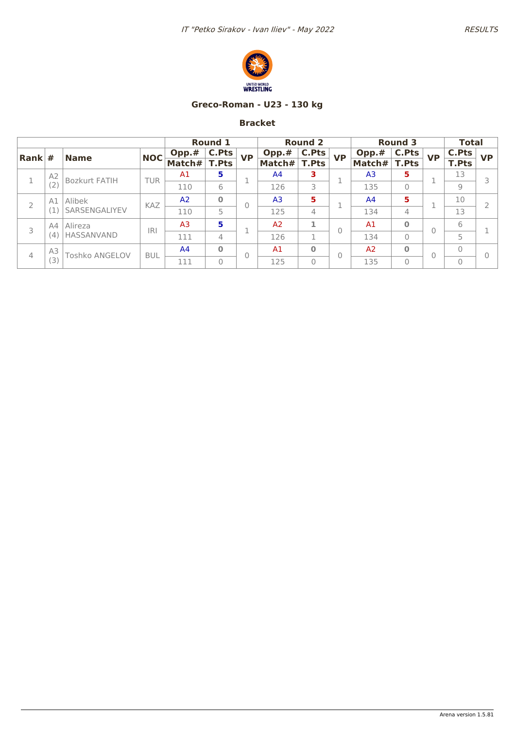

## **Greco-Roman - U23 - 130 kg**

|                        |                |                       |            |                | <b>Round 1</b> |           |                | <b>Round 2</b> |           |                | <b>Round 3</b> |           | <b>Total</b> |           |
|------------------------|----------------|-----------------------|------------|----------------|----------------|-----------|----------------|----------------|-----------|----------------|----------------|-----------|--------------|-----------|
| $\vert$ Rank $\vert$ # |                | <b>Name</b>           | <b>NOC</b> | Opp.#          | C.Pts          | <b>VP</b> | Opp.#          | <b>C.Pts</b>   | <b>VP</b> | Opp.#          | C.Pts          | <b>VP</b> | <b>C.Pts</b> | <b>VP</b> |
|                        |                |                       |            | Match#         | <b>T.Pts</b>   |           | Match#         | <b>T.Pts</b>   |           | Match#         | <b>T.Pts</b>   |           | <b>T.Pts</b> |           |
|                        | A <sub>2</sub> | <b>Bozkurt FATIH</b>  | <b>TUR</b> | A1             | 5              |           | A4             | 3              |           | A <sub>3</sub> | 5              |           | 13           |           |
|                        | (2)            |                       |            | 110            | 6              |           | 126            | 3              |           | 135            | $\Omega$       |           | 9            |           |
|                        | Alibek<br>A1   |                       | <b>KAZ</b> | A <sub>2</sub> | $\bf{0}$       |           | A <sub>3</sub> | 5              |           | A <sup>4</sup> | 5              |           | 10           |           |
|                        |                | SARSENGALIYEV         |            | 110            | 5              |           | 125            | 4              |           | 134            | 4              |           | 13           |           |
| 3                      | A4             | Alireza               | <b>IRI</b> | A <sub>3</sub> | 5              |           | A <sub>2</sub> |                | O         | A <sub>1</sub> | $\bf{0}$       | $\Omega$  | 6            |           |
|                        | (4)            | <b>HASSANVAND</b>     |            | 111            | 4              |           | 126            | n.             |           | 134            | $\Omega$       |           | 5            |           |
|                        | A3             | <b>Toshko ANGELOV</b> | <b>BUL</b> | A <sup>4</sup> | $\bf{0}$       | 0         | A <sub>1</sub> | $\bf{0}$       | 0         | A <sub>2</sub> | $\bf{O}$       | $\Omega$  | $\mathbf{0}$ |           |
| 4                      | (3)            |                       |            | 111            | $\Omega$       |           | 125            | 0              |           | 135            | $\Omega$       |           | $\Omega$     |           |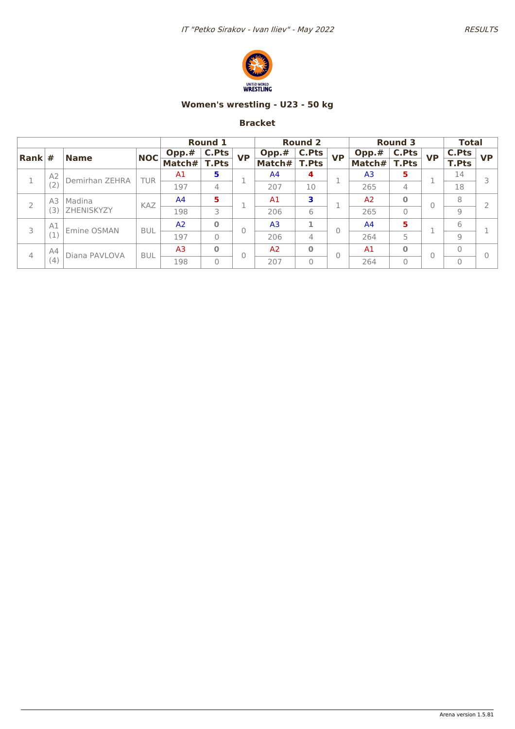

## **Women's wrestling - U23 - 50 kg**

|                        |        |                |                |                | <b>Round 1</b> |           |                | <b>Round 2</b> |                |                | <b>Round 3</b> |           | <b>Total</b>   |           |
|------------------------|--------|----------------|----------------|----------------|----------------|-----------|----------------|----------------|----------------|----------------|----------------|-----------|----------------|-----------|
| $\vert$ Rank $\vert$ # |        | <b>Name</b>    | <b>NOC</b>     | Opp.#          | <b>C.Pts</b>   | <b>VP</b> | Opp.#          | C.Pts          | <b>VP</b>      | Opp.#          | <b>C.Pts</b>   | <b>VP</b> | C.Pts          | <b>VP</b> |
|                        |        |                |                | Match#         | <b>T.Pts</b>   |           | Match#         | <b>T.Pts</b>   |                | Match#         | <b>T.Pts</b>   |           | <b>T.Pts</b>   |           |
|                        | A2     | Demirhan ZEHRA | <b>TUR</b>     | A1             | 5              |           | A4             | 4              |                | A <sub>3</sub> | 5              |           | 14             |           |
|                        | (2)    |                |                | 197            | 4              |           | 207            | 10             |                | 265            | $\overline{4}$ |           | 18             |           |
| A3<br>2                | Madina | KAZ            | A <sup>4</sup> | 5              |                | A1        | 3              |                | A <sub>2</sub> | $\bf{0}$       | 0              | 8         |                |           |
|                        | З      | ZHENISKYZY     |                | 198            | 3              |           | 206            | 6              |                | 265            | $\mathbf{0}$   |           | 9              |           |
| 3                      | A1     | Emine OSMAN    | <b>BUL</b>     | A <sup>2</sup> | $\mathbf{0}$   | 0         | A <sub>3</sub> | ×.             |                | A <sup>4</sup> | 5              |           | 6              |           |
|                        |        |                |                | 197            | 0              |           | 206            | 4              |                | 264            | 5              |           | 9              |           |
|                        | A4     | Diana PAVLOVA  | <b>BUL</b>     | A <sub>3</sub> | $\mathbf{0}$   | 0         | A <sub>2</sub> | $\bf{0}$       |                | A <sub>1</sub> | $\bf{0}$       | 0         | $\overline{0}$ |           |
| 4<br>(4)               |        |                | 198            | $\Omega$       |                | 207       | $\Omega$       |                | 264            | $\mathbf{0}$   |                | $\Omega$  |                |           |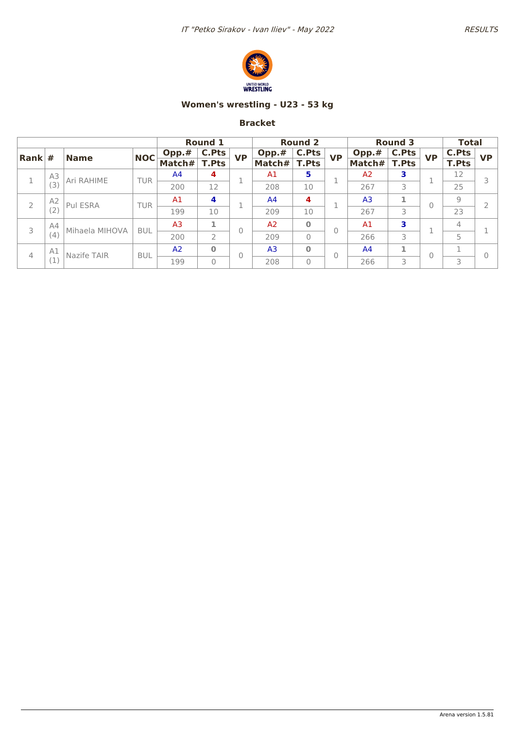

## **Women's wrestling - U23 - 53 kg**

|                        |          |                |            |                | <b>Round 1</b> |                |                | <b>Round 2</b> |                |                | <b>Round 3</b> |              | <b>Total</b>   |           |
|------------------------|----------|----------------|------------|----------------|----------------|----------------|----------------|----------------|----------------|----------------|----------------|--------------|----------------|-----------|
| $\vert$ Rank $\vert$ # |          | <b>Name</b>    | <b>NOC</b> | Opp.#          | <b>C.Pts</b>   | <b>VP</b>      | Opp.#          | C.Pts          | <b>VP</b>      | Opp.#          | <b>C.Pts</b>   | <b>VP</b>    | <b>C.Pts</b>   | <b>VP</b> |
|                        |          |                |            | Match#         | <b>T.Pts</b>   |                | Match#         | <b>T.Pts</b>   |                | Match#         | <b>T.Pts</b>   |              | <b>T.Pts</b>   |           |
|                        | A3       | Ari RAHIME     | TUR        | A <sup>4</sup> | 4              |                | A1             | 5              |                | A <sub>2</sub> | 3              | п            | 12             |           |
|                        | (3)      |                |            | 200            | 12             |                | 208            | 10             |                | 267            | 3              |              | 25             |           |
| A <sub>2</sub>         | Pul ESRA | TUR            | A1         | 4              |                | A <sup>4</sup> | 4              |                | A <sub>3</sub> |                | $\Omega$       | 9            |                |           |
|                        | (2)      |                |            | 199            | 10             |                | 209            | 10             |                | 267            | 3              |              | 23             |           |
| 3                      | A4       | Mihaela MIHOVA | <b>BUL</b> | A <sub>3</sub> | 1              | $\theta$       | A <sub>2</sub> | $\bf{0}$       | 0              | A <sub>1</sub> | 3              | п            | $\overline{4}$ |           |
|                        | (4)      |                |            | 200            | $\overline{2}$ |                | 209            | $\Omega$       |                | 266            | 3              |              | 5              |           |
|                        | A1       | Nazife TAIR    | <b>BUL</b> | A <sub>2</sub> | $\bf{0}$       | $\theta$       | A <sub>3</sub> | $\bf{0}$       | $\Omega$       | A <sup>4</sup> |                | $\mathbf{0}$ |                |           |
| 4                      |          |                |            | 199            | $\mathbf{0}$   |                | 208            | $\Omega$       |                | 266            | 3              |              | 3              |           |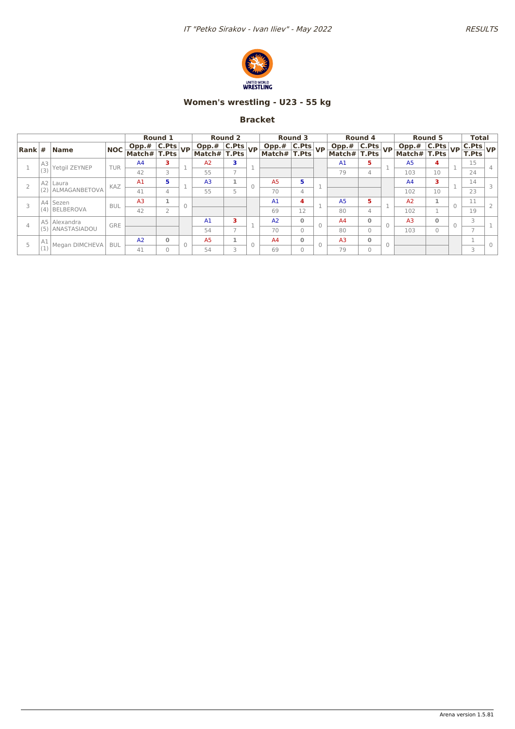

## **Women's wrestling - U23 - 55 kg**

|  |     |                   |            |                                                        | Round 1        |          |                             | <b>Round 2</b> |          |                                | <b>Round 3</b> |                                                                                                                                                   | Round 4      |        |                                                        | Round 5  | <b>Total</b>                |  |
|--|-----|-------------------|------------|--------------------------------------------------------|----------------|----------|-----------------------------|----------------|----------|--------------------------------|----------------|---------------------------------------------------------------------------------------------------------------------------------------------------|--------------|--------|--------------------------------------------------------|----------|-----------------------------|--|
|  |     | Rank #  Name      | <b>NOC</b> | $\boxed{\text{Opp.}\# \boxed{\text{C.} \text{Pts}}$ VP |                |          | Opp.# C.Pts<br>Match# T.Pts |                |          | Opp.# C.Pts<br>Match# T.Pts VP |                | $\begin{array}{ c c c c }\hline \text{Opp.}\# & \text{C.Pts} & \text{VP} \\\hline \text{Match}\# & \text{T.Pts} & \text{VP} \\\hline \end{array}$ |              |        | $\boxed{\text{Opp.}\# \boxed{\text{C.} \text{Pts}}$ VP |          | $\frac{ C.Pts }{T.Pts} VP $ |  |
|  |     |                   |            | Match#  T.Pts                                          |                |          |                             |                |          |                                |                |                                                                                                                                                   |              |        | Match# $\vert$ T.Pts                                   |          |                             |  |
|  | A3  | Yetgil ZEYNEP     | <b>TUR</b> | A <sub>4</sub>                                         | з              |          | A2                          | з              |          |                                |                | A <sub>1</sub>                                                                                                                                    | 5.           |        | A <sub>5</sub>                                         | 4        | 15                          |  |
|  | (3) |                   |            | 42                                                     | 3              |          | 55                          |                |          |                                |                | 79                                                                                                                                                | 4            |        | 103                                                    | 10       | 24                          |  |
|  |     | A2 Laura          | KAZ        | A1                                                     | 5              |          | A <sub>3</sub>              |                | $\Omega$ | A <sub>5</sub>                 | 5.             |                                                                                                                                                   |              |        | A <sub>4</sub>                                         | з.       | 14                          |  |
|  |     | (2) ALMAGANBETOVA |            | 41                                                     | 4              |          | 55                          |                |          | 70                             | 4              |                                                                                                                                                   |              |        | 102                                                    | 10       | 23                          |  |
|  |     | A4 Sezen          | <b>BUL</b> | A <sub>3</sub>                                         |                | $\Omega$ |                             |                |          | A <sub>1</sub>                 | 4              | A <sub>5</sub>                                                                                                                                    | 5            |        | A <sub>2</sub>                                         |          | 11                          |  |
|  |     | (4) BELBEROVA     |            | 42                                                     | $\overline{2}$ |          |                             |                |          | 69                             | 12             | 80                                                                                                                                                | 4            |        | 102                                                    |          | 19                          |  |
|  |     | A5 Alexandra      | <b>GRE</b> |                                                        |                |          | A <sub>1</sub>              | з              |          | A <sub>2</sub>                 | $\mathbf{0}$   | A <sub>4</sub>                                                                                                                                    | $\mathbf{0}$ |        | A <sub>3</sub>                                         | $\Omega$ | 3                           |  |
|  |     | (5) ANASTASIADOU  |            |                                                        |                |          | 54                          |                |          | 70                             | $\Omega$       | 80                                                                                                                                                | $\Omega$     |        | 103                                                    | $\Omega$ | $\rightarrow$               |  |
|  | A1  | Megan DIMCHEVA    | <b>BUL</b> | A2                                                     | $\mathbf{0}$   |          | A <sub>5</sub>              |                | $\Omega$ | A <sub>4</sub>                 | $\mathbf{0}$   | A <sub>3</sub>                                                                                                                                    | $\mathbf 0$  | $\cap$ |                                                        |          |                             |  |
|  |     |                   | 41         | $\bigcap$                                              |                | 54       | 3                           |                | 69       | $\Omega$                       | 79             | $\Omega$                                                                                                                                          |              |        |                                                        | 3        |                             |  |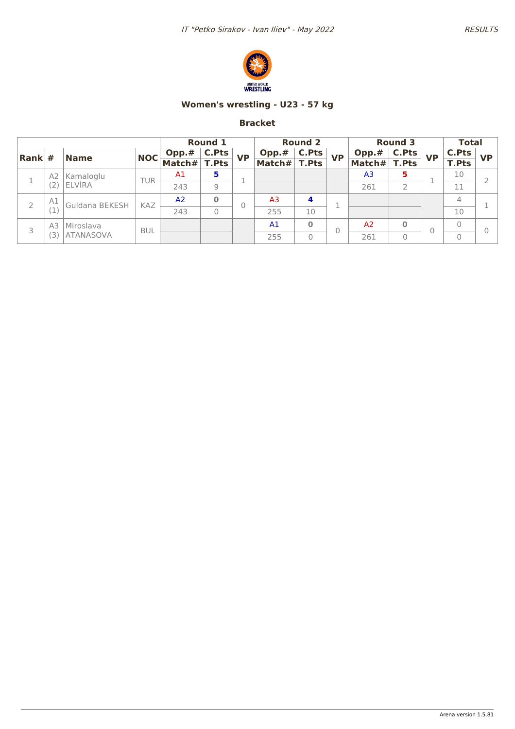

## **Women's wrestling - U23 - 57 kg**

|                        |                |                  |            |                | <b>Round 1</b> |           |        | <b>Round 2</b> |           |                | <b>Round 3</b> |           | <b>Total</b> |           |
|------------------------|----------------|------------------|------------|----------------|----------------|-----------|--------|----------------|-----------|----------------|----------------|-----------|--------------|-----------|
| $\vert$ Rank $\vert$ # |                | <b>Name</b>      | <b>NOC</b> | Opp.#          | <b>C.Pts</b>   | <b>VP</b> | Opp.#  | <b>C.Pts</b>   | <b>VP</b> | Opp.#          | <b>C.Pts</b>   | <b>VP</b> | C.Pts        | <b>VP</b> |
|                        |                |                  |            | Match#         | <b>T.Pts</b>   |           | Match# | <b>T.Pts</b>   |           | Match#         | <b>T.Pts</b>   |           | <b>T.Pts</b> |           |
|                        | A2             | Kamaloglu        | <b>TUR</b> | A1             | 5              |           |        |                |           | A <sub>3</sub> | 5              |           | 10           |           |
| (2)                    | <b>ELVIRA</b>  |                  | 243        | 9              |                |           |        |                | 261       | 2              |                | 11        |              |           |
|                        | A1             | Guldana BEKESH   | KAZ        | A <sub>2</sub> | $\mathbf 0$    |           | A3     | 4              |           |                |                |           | 4            |           |
|                        |                |                  |            | 243            |                |           | 255    | 10             |           |                |                |           | 10           |           |
|                        | A <sub>3</sub> | Miroslava        | <b>BUL</b> |                |                |           | A1     | $\Omega$       |           | A <sub>2</sub> | $\bf{0}$       |           | 0            |           |
| 3                      | 3)             | <b>ATANASOVA</b> |            |                |                |           | 255    | $\overline{0}$ |           | 261            | $\Omega$       |           | 0            |           |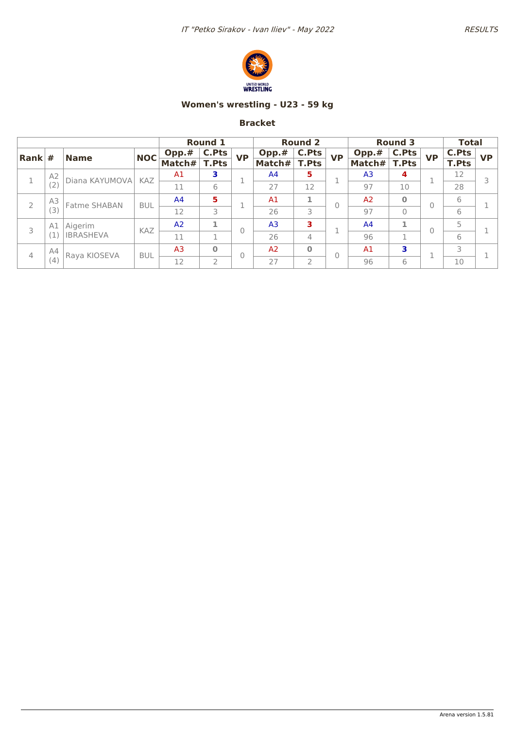

## **Women's wrestling - U23 - 59 kg**

|           |              |                  |                |                | <b>Round 1</b> |           |                | <b>Round 2</b> |                |                | <b>Round 3</b> |           | <b>Total</b> |           |
|-----------|--------------|------------------|----------------|----------------|----------------|-----------|----------------|----------------|----------------|----------------|----------------|-----------|--------------|-----------|
| Rank      | #            | <b>Name</b>      | <b>NOC</b>     | Opp.#          | C.Pts          | <b>VP</b> | Opp.#          | <b>C.Pts</b>   | <b>VP</b>      | Opp.#          | C.Pts          | <b>VP</b> | C.Pts        | <b>VP</b> |
|           |              |                  |                | Match#         | <b>T.Pts</b>   |           | Match#         | <b>T.Pts</b>   |                | Match#         | <b>T.Pts</b>   |           | <b>T.Pts</b> |           |
|           | A2           | Diana KAYUMOVA   | <b>KAZ</b>     | A <sub>1</sub> | 3              |           | A <sup>4</sup> | 5              |                | A <sub>3</sub> | 4              |           | 12           |           |
|           | (2)          |                  |                | 11             | 6              |           | 27             | 12             |                | 97             | 10             |           | 28           |           |
| A3<br>(3) | Fatme SHABAN | <b>BUL</b>       | A <sup>4</sup> | 5              |                | A1        | 1              |                | A <sub>2</sub> | $\bf{O}$       | 0              | 6         |              |           |
|           |              |                  | 12             | 3              |                | 26        | 3              |                | 97             | $\Omega$       |                | 6         |              |           |
| 3         | A1           | Aigerim          | KAZ            | A <sub>2</sub> | 1              | 0         | A <sub>3</sub> | 3              |                | A <sup>4</sup> |                | $\Omega$  | 5            |           |
|           |              | <b>IBRASHEVA</b> |                | 11             | 1              |           | 26             | 4              |                | 96             | 1              |           | 6            |           |
|           | A4           | Raya KIOSEVA     | <b>BUL</b>     | A <sub>3</sub> | $\bf{0}$       | 0         | A <sub>2</sub> | $\Omega$       | 0              | A <sub>1</sub> | 3              | п         | 3            |           |
| 4         | (4)          |                  |                | 12             | 2              |           | 27             | $\overline{2}$ |                | 96             | 6              | J.        | 10           |           |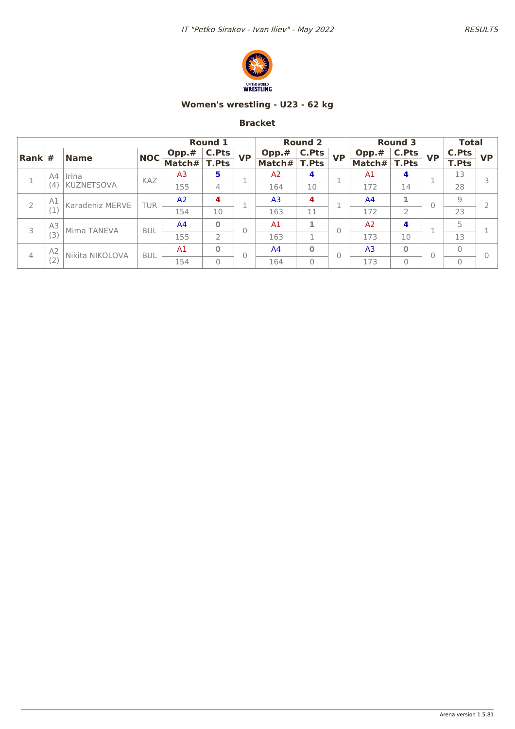

## **Women's wrestling - U23 - 62 kg**

|                |                |                            |            |                | <b>Round 1</b> |           |                | <b>Round 2</b> |           |                | <b>Round 3</b> |           | <b>Total</b>   |           |
|----------------|----------------|----------------------------|------------|----------------|----------------|-----------|----------------|----------------|-----------|----------------|----------------|-----------|----------------|-----------|
| Rank           | #              | <b>Name</b>                | <b>NOC</b> | Opp.#          | C.Pts          | <b>VP</b> | Opp.#          | C.Pts          | <b>VP</b> | Opp.#          | <b>C.Pts</b>   | <b>VP</b> | C.Pts          | <b>VP</b> |
|                |                |                            |            | Match#         | <b>T.Pts</b>   |           | Match#         | <b>T.Pts</b>   |           | Match#         | <b>T.Pts</b>   |           | <b>T.Pts</b>   |           |
|                | A4             | Irina<br><b>KUZNETSOVA</b> | <b>KAZ</b> | A <sub>3</sub> | 5              |           | A2             | 4              |           | A <sub>1</sub> | $\overline{a}$ |           | 13             |           |
|                | (4)            |                            |            | 155            | 4              |           | 164            | 10             |           | 172            | 14             |           | 28             |           |
| A1<br>2<br>(1) |                | Karadeniz MERVE            | TUR        | A <sub>2</sub> | 4              |           | A <sub>3</sub> | 4              |           | A <sup>4</sup> |                | 0         | $\overline{9}$ |           |
|                |                |                            | 154        | 10             |                | 163       | 11             |                | 172       | $\overline{2}$ |                | 23        |                |           |
| 3              | A3             | Mima TANEVA                | <b>BUL</b> | A <sup>4</sup> | $\bf{0}$       | $\Omega$  | A1             | 1              | Ŋ         | A <sub>2</sub> | 4              |           | 5              |           |
|                | (3)            |                            |            | 155            | $\overline{2}$ |           | 163            | 1              |           | 173            | 10             |           | 13             |           |
| 4              | A <sub>2</sub> | Nikita NIKOLOVA            | <b>BUL</b> | A <sub>1</sub> | $\bf{0}$       | $\Omega$  | A <sup>4</sup> | $\bf{0}$       | Ŋ         | A <sub>3</sub> | $\bf{0}$       | 0         | $\overline{0}$ |           |
|                | (2)            |                            |            | 154            | $\mathbf{O}$   |           | 164            | $\mathbf{0}$   |           | 173            | $\Omega$       |           | $\Omega$       |           |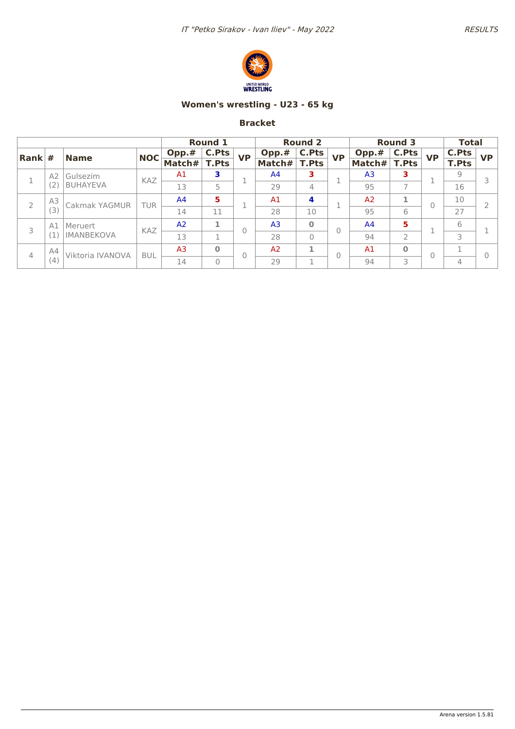

## **Women's wrestling - U23 - 65 kg**

|                            |                  |                   |                |                    | <b>Round 1</b> |                |                | <b>Round 2</b> |                |                | <b>Round 3</b> |           | <b>Total</b> |           |
|----------------------------|------------------|-------------------|----------------|--------------------|----------------|----------------|----------------|----------------|----------------|----------------|----------------|-----------|--------------|-----------|
| Rank                       | #                | <b>Name</b>       | <b>NOC</b>     | $\mathsf{Opp.} \#$ | C.Pts          | <b>VP</b>      | Opp.#          | C.Pts          | <b>VP</b>      | Opp.#          | <b>C.Pts</b>   | <b>VP</b> | C.Pts        | <b>VP</b> |
|                            |                  |                   |                | Match#             | T.Pts          |                | Match#         | <b>T.Pts</b>   |                | Match#         | <b>T.Pts</b>   |           | <b>T.Pts</b> |           |
|                            | A2               | Gulsezim          | KAZ            | A <sub>1</sub>     | 3              |                | A <sup>4</sup> | з              |                | A <sub>3</sub> | з              |           | 9            |           |
|                            |                  | <b>BUHAYEVA</b>   |                | 13                 | 5              |                | 29             | $\overline{4}$ |                | 95             | $\overline{ }$ |           | 16           |           |
| A3                         |                  | Cakmak YAGMUR     | TUR            | A <sub>4</sub>     | 5              |                | A1             | 4              |                | A <sub>2</sub> |                | 0         | 10           |           |
|                            | (3)              |                   |                | 14                 | 11             |                | 28             | 10             |                | 95             | 6              |           | 27           |           |
| 3                          | A1               | Meruert           | KAZ            | A <sub>2</sub>     |                | $\Omega$       | A <sub>3</sub> | $\bf{0}$       |                | A <sup>4</sup> | 5              |           | 6            |           |
|                            |                  | <b>IMANBEKOVA</b> |                | 13                 |                |                | 28             | $\Omega$       |                | 94             | $\overline{2}$ |           | 3            |           |
| A <sub>4</sub><br>4<br>(4) | Viktoria IVANOVA | <b>BUL</b>        | A <sub>3</sub> | $\Omega$           | $\Omega$       | A <sub>2</sub> | 1              |                | A <sub>1</sub> | $\bf{O}$       | 0              |           |              |           |
|                            |                  |                   |                | 14                 | 0              |                | 29             | <b>1</b>       |                | 94             | 3              |           | 4            |           |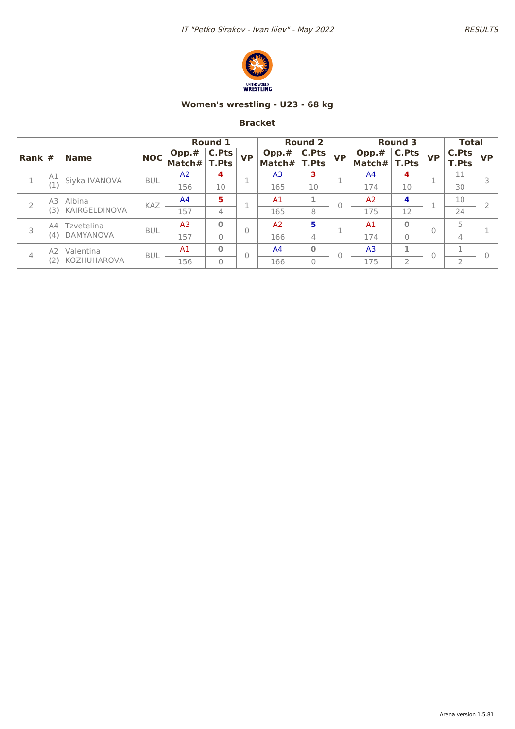

## **Women's wrestling - U23 - 68 kg**

|                        |           |                                 |            | <b>Round 1</b> |              |           | <b>Round 2</b> |              |           | <b>Round 3</b> |              |           | <b>Total</b>   |           |
|------------------------|-----------|---------------------------------|------------|----------------|--------------|-----------|----------------|--------------|-----------|----------------|--------------|-----------|----------------|-----------|
| $\vert$ Rank $\vert$ # |           | <b>Name</b>                     | <b>NOC</b> | Opp.#          | C.Pts        | <b>VP</b> | Opp.#          | C.Pts        | <b>VP</b> | Opp.#          | <b>C.Pts</b> | <b>VP</b> | C.Pts          | <b>VP</b> |
|                        |           |                                 |            | Match#         | <b>T.Pts</b> |           | Match#         | <b>T.Pts</b> |           | Match#         | <b>T.Pts</b> |           | <b>T.Pts</b>   |           |
| 1                      | A1        | Siyka IVANOVA                   | <b>BUL</b> | A2             | 4            |           | A <sub>3</sub> | з            |           | A <sup>4</sup> | 4            |           | 11             |           |
|                        |           |                                 |            | 156            | 10           |           | 165            | 10           |           | 174            | 10           |           | 30             |           |
| 2                      | A3<br>ί3  | Albina<br>KAIRGELDINOVA         | <b>KAZ</b> | A <sup>4</sup> | 5            |           | A <sub>1</sub> |              | Ω         | A <sub>2</sub> | 4            |           | 10             |           |
|                        |           |                                 |            | 157            | 4            |           | 165            | 8            |           | 175            | 12           |           | 24             |           |
| 3                      | A4<br>(4) | Tzvetelina<br><b>DAMYANOVA</b>  | <b>BUL</b> | A <sub>3</sub> | $\bf{0}$     | 0         | A <sub>2</sub> | 5            |           | A <sub>1</sub> | $\bf{0}$     | $\Omega$  | 5              |           |
|                        |           |                                 |            | 157            | $\mathbf{0}$ |           | 166            | 4            |           | 174            | $\Omega$     |           | 4              |           |
| 4                      | A2        | Valentina<br><b>KOZHUHAROVA</b> | <b>BUL</b> | A1             | $\bf{0}$     | 0         | A <sup>4</sup> | $\bf{0}$     | 0         | A <sub>3</sub> | 1            | $\Omega$  |                |           |
|                        |           |                                 |            | 156            | 0            |           | 166            | 0            |           | 175            | 2            |           | $\overline{2}$ |           |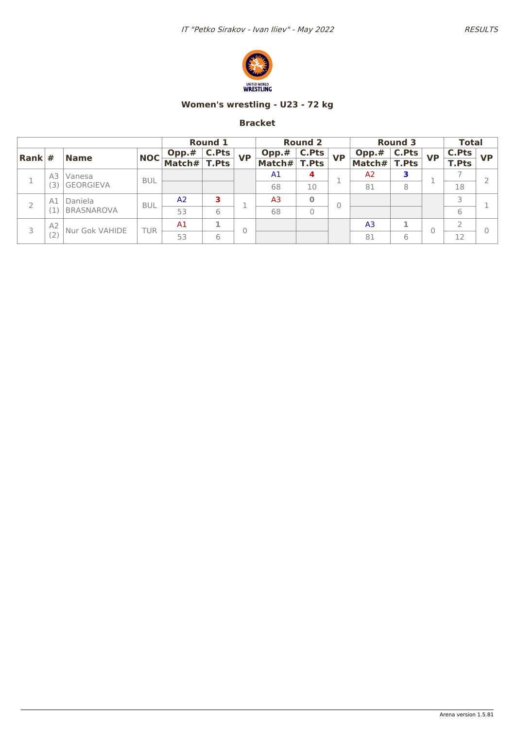

## **Women's wrestling - U23 - 72 kg**

|                        |           |                              |            | <b>Round 1</b> |       |           | <b>Round 2</b> |              |           | <b>Round 3</b> |              |           | <b>Total</b> |           |
|------------------------|-----------|------------------------------|------------|----------------|-------|-----------|----------------|--------------|-----------|----------------|--------------|-----------|--------------|-----------|
| $\vert$ Rank $\vert$ # |           | <b>Name</b>                  | <b>NOC</b> | Opp.#          | C.Pts | <b>VP</b> | Opp.#          | C.Pts        | <b>VP</b> | Opp.#          | <b>C.Pts</b> | <b>VP</b> | C.Pts        | <b>VP</b> |
|                        |           |                              |            | Match#         | T.Pts |           | Match#         | <b>T.Pts</b> |           | Match#         | <b>T.Pts</b> |           | <b>T.Pts</b> |           |
|                        | A3        | Vanesa<br><b>GEORGIEVA</b>   | <b>BUL</b> |                |       |           | A <sub>1</sub> | 4            |           | A <sub>2</sub> | 3            |           |              |           |
|                        | 3         |                              |            |                |       |           | 68             | 10           |           | 81             | 8            |           | 18           |           |
|                        | A1        | Daniela<br><b>BRASNAROVA</b> | <b>BUL</b> | A2             | 3     |           | A3             | $\bf{0}$     |           |                |              |           |              |           |
|                        |           |                              |            | 53             | 6     |           | 68             | 0            |           |                |              |           | 6            |           |
| 3                      | A2<br>(2) | Nur Gok VAHIDE               | TUR        | A <sub>1</sub> |       |           |                |              |           | A <sub>3</sub> |              | 0         |              |           |
|                        |           |                              |            | 53             | 6     |           |                |              |           | 81             | 6            |           | 12           |           |